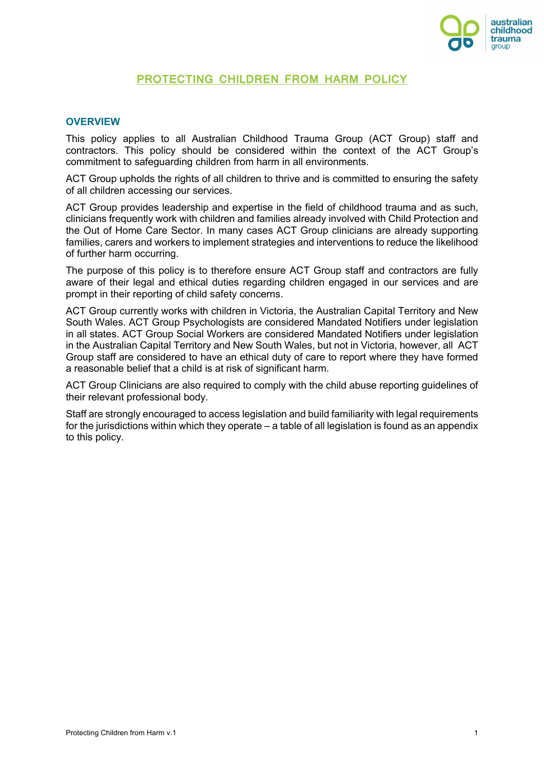

# **PROTECTING CHILDREN FROM HARM POLICY**

#### **OVERVIEW**

This policy applies to all Australian Childhood Trauma Group (ACT Group) staff and contractors. This policy should be considered within the context of the ACT Group's commitment to safeguarding children from harm in all environments.

ACT Group upholds the rights of all children to thrive and is committed to ensuring the safety of all children accessing our services.

ACT Group provides leadership and expertise in the field of childhood trauma and as such, clinicians frequently work with children and families already involved with Child Protection and the Out of Home Care Sector. In many cases ACT Group clinicians are already supporting families, carers and workers to implement strategies and interventions to reduce the likelihood of further harm occurring.

The purpose of this policy is to therefore ensure ACT Group staff and contractors are fully aware of their legal and ethical duties regarding children engaged in our services and are prompt in their reporting of child safety concerns.

ACT Group currently works with children in Victoria, the Australian Capital Territory and New South Wales. ACT Group Psychologists are considered Mandated Notifiers under legislation in all states. ACT Group Social Workers are considered Mandated Notifiers under legislation in the Australian Capital Territory and New South Wales, but not in Victoria, however, all ACT Group staff are considered to have an ethical duty of care to report where they have formed a reasonable belief that a child is at risk of significant harm.

ACT Group Clinicians are also required to comply with the child abuse reporting guidelines of their relevant professional body.

Staff are strongly encouraged to access legislation and build familiarity with legal requirements for the jurisdictions within which they operate – a table of all legislation is found as an appendix to this policy.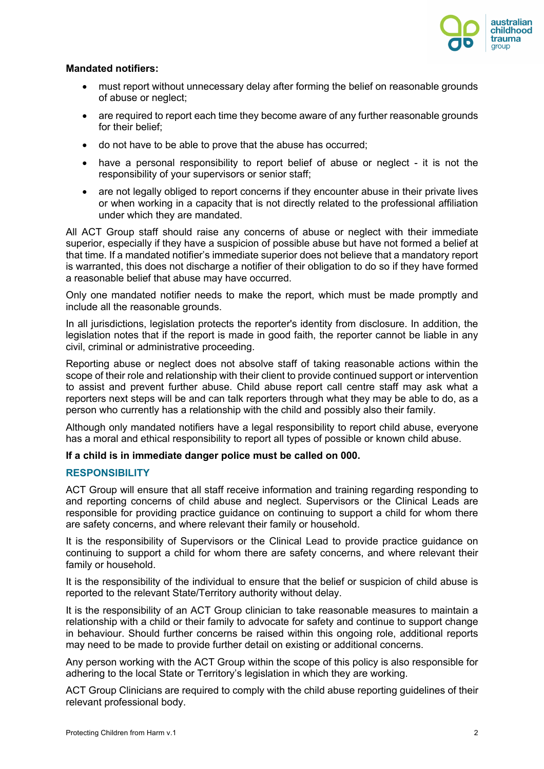

### **Mandated notifiers:**

- must report without unnecessary delay after forming the belief on reasonable grounds of abuse or neglect;
- are required to report each time they become aware of any further reasonable grounds for their belief;
- do not have to be able to prove that the abuse has occurred;
- have a personal responsibility to report belief of abuse or neglect it is not the responsibility of your supervisors or senior staff;
- are not legally obliged to report concerns if they encounter abuse in their private lives or when working in a capacity that is not directly related to the professional affiliation under which they are mandated.

All ACT Group staff should raise any concerns of abuse or neglect with their immediate superior, especially if they have a suspicion of possible abuse but have not formed a belief at that time. If a mandated notifier's immediate superior does not believe that a mandatory report is warranted, this does not discharge a notifier of their obligation to do so if they have formed a reasonable belief that abuse may have occurred.

Only one mandated notifier needs to make the report, which must be made promptly and include all the reasonable grounds.

In all jurisdictions, legislation protects the reporter's identity from disclosure. In addition, the legislation notes that if the report is made in good faith, the reporter cannot be liable in any civil, criminal or administrative proceeding.

Reporting abuse or neglect does not absolve staff of taking reasonable actions within the scope of their role and relationship with their client to provide continued support or intervention to assist and prevent further abuse. Child abuse report call centre staff may ask what a reporters next steps will be and can talk reporters through what they may be able to do, as a person who currently has a relationship with the child and possibly also their family.

Although only mandated notifiers have a legal responsibility to report child abuse, everyone has a moral and ethical responsibility to report all types of possible or known child abuse.

### **If a child is in immediate danger police must be called on 000.**

### **RESPONSIBILITY**

ACT Group will ensure that all staff receive information and training regarding responding to and reporting concerns of child abuse and neglect. Supervisors or the Clinical Leads are responsible for providing practice guidance on continuing to support a child for whom there are safety concerns, and where relevant their family or household.

It is the responsibility of Supervisors or the Clinical Lead to provide practice guidance on continuing to support a child for whom there are safety concerns, and where relevant their family or household.

It is the responsibility of the individual to ensure that the belief or suspicion of child abuse is reported to the relevant State/Territory authority without delay.

It is the responsibility of an ACT Group clinician to take reasonable measures to maintain a relationship with a child or their family to advocate for safety and continue to support change in behaviour. Should further concerns be raised within this ongoing role, additional reports may need to be made to provide further detail on existing or additional concerns.

Any person working with the ACT Group within the scope of this policy is also responsible for adhering to the local State or Territory's legislation in which they are working.

ACT Group Clinicians are required to comply with the child abuse reporting guidelines of their relevant professional body.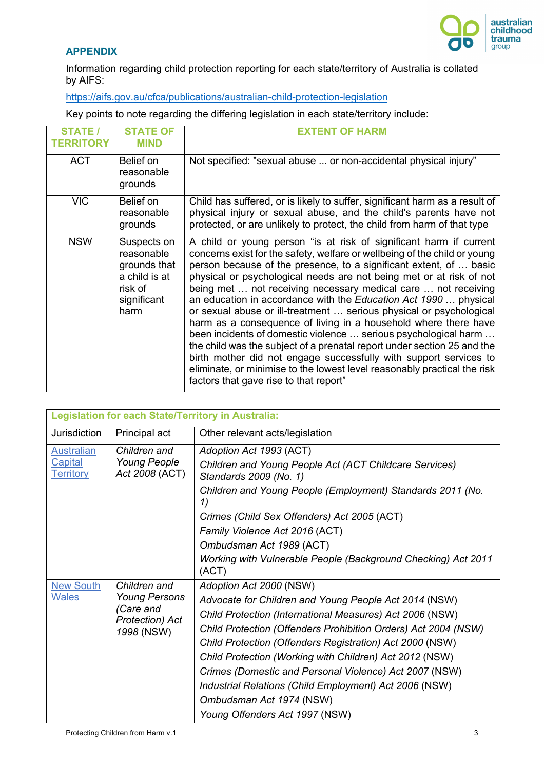

## **APPENDIX**

Information regarding child protection reporting for each state/territory of Australia is collated by AIFS:

https://aifs.gov.au/cfca/publications/australian-child-protection-legislation

Key points to note regarding the differing legislation in each state/territory include:

| <b>STATE /</b><br><b>TERRITORY</b> | <b>STATE OF</b><br><b>MIND</b>                                                               | <b>EXTENT OF HARM</b>                                                                                                                                                                                                                                                                                                                                                                                                                                                                                                                                                                                                                                                                                                                                                                                                                                                                                                 |
|------------------------------------|----------------------------------------------------------------------------------------------|-----------------------------------------------------------------------------------------------------------------------------------------------------------------------------------------------------------------------------------------------------------------------------------------------------------------------------------------------------------------------------------------------------------------------------------------------------------------------------------------------------------------------------------------------------------------------------------------------------------------------------------------------------------------------------------------------------------------------------------------------------------------------------------------------------------------------------------------------------------------------------------------------------------------------|
| <b>ACT</b>                         | Belief on<br>reasonable<br>grounds                                                           | Not specified: "sexual abuse  or non-accidental physical injury"                                                                                                                                                                                                                                                                                                                                                                                                                                                                                                                                                                                                                                                                                                                                                                                                                                                      |
| <b>VIC</b>                         | Belief on<br>reasonable<br>grounds                                                           | Child has suffered, or is likely to suffer, significant harm as a result of<br>physical injury or sexual abuse, and the child's parents have not<br>protected, or are unlikely to protect, the child from harm of that type                                                                                                                                                                                                                                                                                                                                                                                                                                                                                                                                                                                                                                                                                           |
| <b>NSW</b>                         | Suspects on<br>reasonable<br>grounds that<br>a child is at<br>risk of<br>significant<br>harm | A child or young person "is at risk of significant harm if current<br>concerns exist for the safety, welfare or wellbeing of the child or young<br>person because of the presence, to a significant extent, of  basic<br>physical or psychological needs are not being met or at risk of not<br>being met  not receiving necessary medical care  not receiving<br>an education in accordance with the Education Act 1990  physical<br>or sexual abuse or ill-treatment  serious physical or psychological<br>harm as a consequence of living in a household where there have<br>been incidents of domestic violence  serious psychological harm<br>the child was the subject of a prenatal report under section 25 and the<br>birth mother did not engage successfully with support services to<br>eliminate, or minimise to the lowest level reasonably practical the risk<br>factors that gave rise to that report" |

| <b>Legislation for each State/Territory in Australia:</b> |                                                                   |                                                                                  |  |  |
|-----------------------------------------------------------|-------------------------------------------------------------------|----------------------------------------------------------------------------------|--|--|
| Jurisdiction                                              | Principal act                                                     | Other relevant acts/legislation                                                  |  |  |
| <b>Australian</b>                                         | Children and                                                      | Adoption Act 1993 (ACT)                                                          |  |  |
| <b>Capital</b><br><b>Territory</b>                        | <b>Young People</b><br>Act 2008 (ACT)                             | Children and Young People Act (ACT Childcare Services)<br>Standards 2009 (No. 1) |  |  |
|                                                           |                                                                   | Children and Young People (Employment) Standards 2011 (No.<br>1)                 |  |  |
|                                                           |                                                                   | Crimes (Child Sex Offenders) Act 2005 (ACT)                                      |  |  |
|                                                           |                                                                   | Family Violence Act 2016 (ACT)                                                   |  |  |
|                                                           |                                                                   | Ombudsman Act 1989 (ACT)                                                         |  |  |
|                                                           |                                                                   | Working with Vulnerable People (Background Checking) Act 2011<br>(ACT)           |  |  |
| <b>New South</b>                                          | Children and                                                      | Adoption Act 2000 (NSW)                                                          |  |  |
| <b>Wales</b>                                              | <b>Young Persons</b><br>Care and<br>Protection) Act<br>1998 (NSW) | Advocate for Children and Young People Act 2014 (NSW)                            |  |  |
|                                                           |                                                                   | Child Protection (International Measures) Act 2006 (NSW)                         |  |  |
|                                                           |                                                                   | Child Protection (Offenders Prohibition Orders) Act 2004 (NSW)                   |  |  |
|                                                           |                                                                   | Child Protection (Offenders Registration) Act 2000 (NSW)                         |  |  |
|                                                           |                                                                   | Child Protection (Working with Children) Act 2012 (NSW)                          |  |  |
|                                                           |                                                                   | Crimes (Domestic and Personal Violence) Act 2007 (NSW)                           |  |  |
|                                                           |                                                                   | Industrial Relations (Child Employment) Act 2006 (NSW)                           |  |  |
|                                                           |                                                                   | Ombudsman Act 1974 (NSW)                                                         |  |  |
|                                                           |                                                                   | Young Offenders Act 1997 (NSW)                                                   |  |  |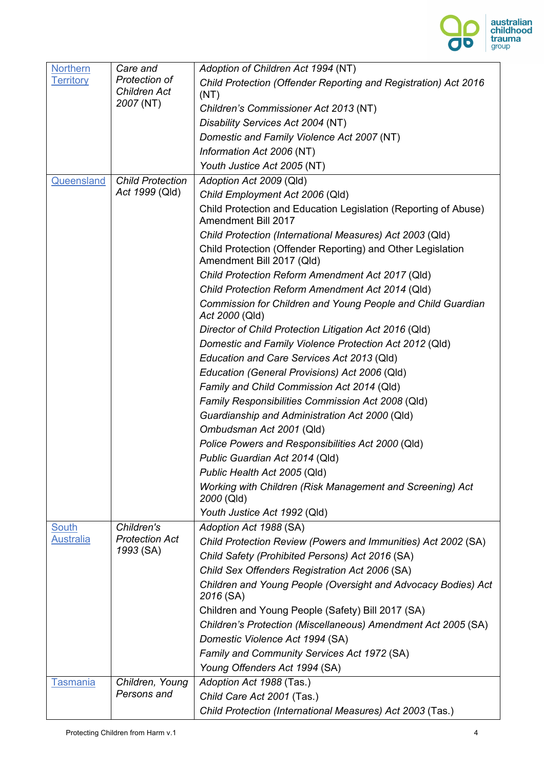

| <b>Northern</b>  | Care and                                  | Adoption of Children Act 1994 (NT)                                                       |
|------------------|-------------------------------------------|------------------------------------------------------------------------------------------|
| <b>Territory</b> | Protection of<br><b>Children Act</b>      | Child Protection (Offender Reporting and Registration) Act 2016                          |
|                  | 2007 (NT)                                 | (NT)                                                                                     |
|                  |                                           | Children's Commissioner Act 2013 (NT)                                                    |
|                  |                                           | Disability Services Act 2004 (NT)                                                        |
|                  |                                           | Domestic and Family Violence Act 2007 (NT)                                               |
|                  |                                           | Information Act 2006 (NT)                                                                |
|                  |                                           | Youth Justice Act 2005 (NT)                                                              |
| Queensland       | <b>Child Protection</b><br>Act 1999 (Qld) | Adoption Act 2009 (Qld)                                                                  |
|                  |                                           | Child Employment Act 2006 (Qld)                                                          |
|                  |                                           | Child Protection and Education Legislation (Reporting of Abuse)<br>Amendment Bill 2017   |
|                  |                                           | Child Protection (International Measures) Act 2003 (Qld)                                 |
|                  |                                           | Child Protection (Offender Reporting) and Other Legislation<br>Amendment Bill 2017 (Qld) |
|                  |                                           | Child Protection Reform Amendment Act 2017 (Qld)                                         |
|                  |                                           | Child Protection Reform Amendment Act 2014 (Qld)                                         |
|                  |                                           | Commission for Children and Young People and Child Guardian<br>Act 2000 (Qld)            |
|                  |                                           | Director of Child Protection Litigation Act 2016 (Qld)                                   |
|                  |                                           | Domestic and Family Violence Protection Act 2012 (Qld)                                   |
|                  |                                           | Education and Care Services Act 2013 (Qld)                                               |
|                  |                                           | Education (General Provisions) Act 2006 (Qld)                                            |
|                  |                                           | Family and Child Commission Act 2014 (Qld)                                               |
|                  |                                           | Family Responsibilities Commission Act 2008 (Qld)                                        |
|                  |                                           | Guardianship and Administration Act 2000 (Qld)                                           |
|                  |                                           | Ombudsman Act 2001 (Qld)                                                                 |
|                  |                                           | Police Powers and Responsibilities Act 2000 (Qld)                                        |
|                  |                                           | Public Guardian Act 2014 (Qld)                                                           |
|                  |                                           | Public Health Act 2005 (Qld)                                                             |
|                  |                                           | Working with Children (Risk Management and Screening) Act<br>2000 (Qld)                  |
|                  |                                           | Youth Justice Act 1992 (Qld)                                                             |
| <b>South</b>     | Children's                                | Adoption Act 1988 (SA)                                                                   |
| <b>Australia</b> | <b>Protection Act</b>                     | Child Protection Review (Powers and Immunities) Act 2002 (SA)                            |
|                  | 1993 (SA)                                 | Child Safety (Prohibited Persons) Act 2016 (SA)                                          |
|                  |                                           | Child Sex Offenders Registration Act 2006 (SA)                                           |
|                  |                                           | Children and Young People (Oversight and Advocacy Bodies) Act<br>2016 (SA)               |
|                  |                                           | Children and Young People (Safety) Bill 2017 (SA)                                        |
|                  |                                           | Children's Protection (Miscellaneous) Amendment Act 2005 (SA)                            |
|                  |                                           | Domestic Violence Act 1994 (SA)                                                          |
|                  |                                           | Family and Community Services Act 1972 (SA)                                              |
|                  |                                           | Young Offenders Act 1994 (SA)                                                            |
| Tasmania         | Children, Young                           | Adoption Act 1988 (Tas.)                                                                 |
|                  | Persons and                               | Child Care Act 2001 (Tas.)                                                               |
|                  |                                           | Child Protection (International Measures) Act 2003 (Tas.)                                |
|                  |                                           |                                                                                          |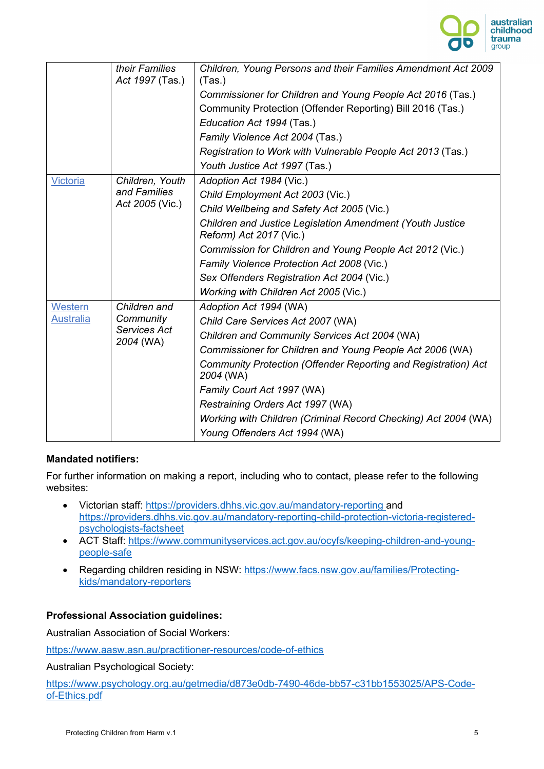

|                  | their Families<br>Act 1997 (Tas.)      | Children, Young Persons and their Families Amendment Act 2009<br>(Tas.)              |
|------------------|----------------------------------------|--------------------------------------------------------------------------------------|
|                  |                                        | Commissioner for Children and Young People Act 2016 (Tas.)                           |
|                  |                                        | Community Protection (Offender Reporting) Bill 2016 (Tas.)                           |
|                  |                                        | Education Act 1994 (Tas.)                                                            |
|                  |                                        | Family Violence Act 2004 (Tas.)                                                      |
|                  |                                        | Registration to Work with Vulnerable People Act 2013 (Tas.)                          |
|                  |                                        | Youth Justice Act 1997 (Tas.)                                                        |
| Victoria         | Children, Youth                        | Adoption Act 1984 (Vic.)                                                             |
|                  | and Families<br>Act 2005 (Vic.)        | Child Employment Act 2003 (Vic.)                                                     |
|                  |                                        | Child Wellbeing and Safety Act 2005 (Vic.)                                           |
|                  |                                        | Children and Justice Legislation Amendment (Youth Justice<br>Reform) Act 2017 (Vic.) |
|                  |                                        | Commission for Children and Young People Act 2012 (Vic.)                             |
|                  |                                        | Family Violence Protection Act 2008 (Vic.)                                           |
|                  |                                        | Sex Offenders Registration Act 2004 (Vic.)                                           |
|                  |                                        | Working with Children Act 2005 (Vic.)                                                |
| Western          | Children and                           | Adoption Act 1994 (WA)                                                               |
| <b>Australia</b> | Community<br>Services Act<br>2004 (WA) | Child Care Services Act 2007 (WA)                                                    |
|                  |                                        | Children and Community Services Act 2004 (WA)                                        |
|                  |                                        | Commissioner for Children and Young People Act 2006 (WA)                             |
|                  |                                        | Community Protection (Offender Reporting and Registration) Act<br>2004 (WA)          |
|                  |                                        | Family Court Act 1997 (WA)                                                           |
|                  |                                        | Restraining Orders Act 1997 (WA)                                                     |
|                  |                                        | Working with Children (Criminal Record Checking) Act 2004 (WA)                       |
|                  |                                        | Young Offenders Act 1994 (WA)                                                        |

## **Mandated notifiers:**

For further information on making a report, including who to contact, please refer to the following websites:

- Victorian staff: https://providers.dhhs.vic.gov.au/mandatory-reporting and https://providers.dhhs.vic.gov.au/mandatory-reporting-child-protection-victoria-registeredpsychologists-factsheet
- ACT Staff: https://www.communityservices.act.gov.au/ocyfs/keeping-children-and-youngpeople-safe
- Regarding children residing in NSW: https://www.facs.nsw.gov.au/families/Protectingkids/mandatory-reporters

## **Professional Association guidelines:**

Australian Association of Social Workers:

https://www.aasw.asn.au/practitioner-resources/code-of-ethics

Australian Psychological Society:

https://www.psychology.org.au/getmedia/d873e0db-7490-46de-bb57-c31bb1553025/APS-Codeof-Ethics.pdf